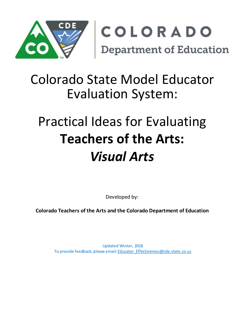

## Colorado State Model Educator Evaluation System:

# Practical Ideas for Evaluating **Teachers of the Arts:** *Visual Arts*

Developed by:

**Colorado Teachers of the Arts and the Colorado Department of Education**

Updated Winter, 2018 To provide feedback, please email: [Educator\\_Effectiveness@cde.state.co.us](mailto:Educator_Effectiveness@cde.state.co.us)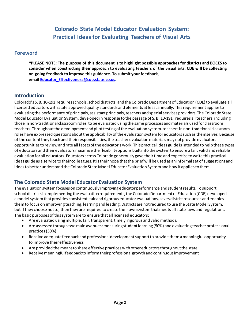## **Colorado State Model Educator Evaluation System: Practical Ideas for Evaluating Teachers of Visual Arts**

### **Foreword**

**\*PLEASE NOTE: The purpose of this document is to highlight possible approaches for districts and BOCES to consider when constructing their approach to evaluating teachers of the visual arts. CDE will be collecting on-going feedback to improve this guidance. To submit your feedback, emai[l Educator\\_Effectiveness@cde.state.co.us.](mailto:Educator_Effectiveness@cde.state.co.us)**

## **Introduction**

Colorado's S. B. 10-191 requires schools, school districts, and the Colorado Department of Education (CDE) to evaluate all licensed educators with state approved quality standards and elements at least annually. This requirement applies to evaluating the performance of principals, assistant principals, teachers and special services providers. The Colorado State Model Educator Evaluation System, developed in response to the passage of S. B. 10-191, requires all teachers, including those in non-traditional classroom roles, to be evaluated using the same processes and materials used for classroom teachers. Throughout the development and pilot testing of the evaluation system, teachers in non-traditional classroom roles have expressed questions about the applicability of the evaluation system for educators such as themselves. Because of the content they teach and their responsibilities, the teacher evaluation materials may not provide evaluators opportunities to review and rate all facets of the educator's work. This practical ideas guide is intended to help these types of educators and their evaluators maximize the flexibility options built into the system to ensure a fair, valid and reliable evaluation for all educators. Educators across Colorado generously gave their time and expertise to write this practical ideas guide as a service to their colleagues. It is their hope that the brief will be used as an informal set of suggestions and ideas to better understand the Colorado State Model Educator Evaluation System and how it applies to them.

## **The Colorado State Model Educator Evaluation System**

The evaluation system focuses on continuously improving educator performance and student results. To support school districts in implementing the evaluation requirements, the Colorado Department of Education (CDE) developed a model system that provides consistent, fair and rigorous educator evaluations, saves district resources and enables them to focus on improving teaching, learning and leading. Districts are not required to use the State Model System, but if they choose not to, then they are required to create their own system that meets all state laws and regulations. The basic purposes of this system are to ensure that all licensed educators:

- Are evaluated using multiple, fair, transparent, timely, rigorous and valid methods.
- Are assessed through two main avenues: measuring student learning (50%) and evaluating teacher professional practices (50%).
- Receive adequate feedback and professional development support to provide them a meaningful opportunity to improve their effectiveness.
- Are provided the meansto share effective practices with other educators throughout the state.
- Receive meaningfulfeedbackto inform their professional growth and continuous improvement.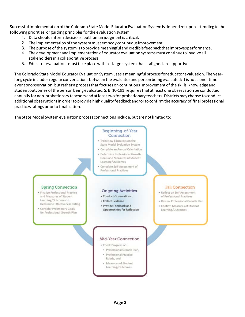Successful implementation of the Colorado State Model Educator Evaluation System is dependent upon attending to the following priorities, or guiding principles for the evaluation system:

- 1. Data should inform decisions, but human judgmentis critical.
- 2. The implementation ofthe systemmust embody continuousimprovement.
- 3. The purpose ofthe systemisto provide meaningfuland crediblefeedback thatimprovesperformance.
- 4. The development and implementation of educator evaluation systems must continue to involve all stakeholders in a collaborative process.
- 5. Educator evaluations must take place within a larger system that is aligned an supportive.

The Colorado State Model Educator Evaluation System uses a meaningful process for educator evaluation. The yearlong cycle includes regular conversations between the evaluator and person being evaluated; it is not a one-time event or observation, but rather a process that focuses on continuous improvement of the skills, knowledge and student outcomes of the person being evaluated. S. B. 10-191 requires that at least one observation be conducted annually for non-probationary teachers and at least two for probationary teachers. Districts may choose to conduct additional observations in order to provide high quality feedback and/or to confirm the accuracy of final professional practices ratings prior to finalization.

The State Model System evaluation process connections include, but are not limited to:

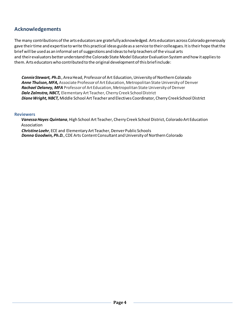## **Acknowledgements**

The many contributions of the arts educators are gratefullyacknowledged. Arts educators across Colorado generously gave theirtime and expertise to write this practical ideas guide as a service to their colleagues. Itis theirhope thatthe brief will be used as an informal set of suggestions and ideas to help teachers of the visual arts and their evaluators better understand the Colorado State Model Educator Evaluation System and how it applies to them. Arts educatorswho contributed to the original developmentof this briefinclude:

**Connie Stewart, Ph.D.**, Area Head, Professor of Art Education, University of Northern Colorado *Anne Thulson, MFA,* Associate Professorof Art Education, Metropolitan State University of Denver *Rachael Delaney, MFA* Professorof Art Education, Metropolitan State University of Denver *Dale Zalmstra, NBCT,* Elementary Art Teacher, Cherry Creek School District *Diane Wright, NBCT,* Middle School Art Teacher and Electives Coordinator, Cherry Creek School District

#### **Reviewers**

*VanessaHayes Quintana*, High School Art Teacher, Cherry Creek School District, Colorado Art Education Association

*Christine Loehr*, ECE and Elementary Art Teacher, Denver Public Schools *Donna Goodwin, Ph.D.*, CDE Arts Content Consultant and University of Northern Colorado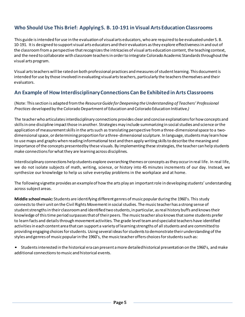## **Who Should Use This Brief: ApplyingS. B. 10-191 inVisual Arts Education Classrooms**

This guide isintended foruse in the evaluation of visual arts educators, who are required to be evaluated under S. B. 10-191. Itis designed to support visual arts educators and theirevaluators asthey explore effectivenessin and out of the classroom from a perspective that recognizes the intricacies of visual arts education content, the teaching context, and the need to collaborate with classroom teachers in order to integrate Colorado Academic Standards throughout the visual arts program.

Visual artsteacherswill be rated on both professional practices andmeasures of studentlearning. This document is intended for use by those involved in evaluating visual arts teachers, particularly the teachers themselves and their evaluators.

## **An Example of How InterdisciplinaryConnectionsCan Be Exhibited inArts Classrooms**

(Note: Thissection is adapted fromthe *ResourceGuide forDeepening theUnderstanding of Teachers' Professional Practices* developed by the Colorado Departmentof Education and Colorado Education Initiative*.)*

The teacherwho articulatesinterdisciplinary connections provides clearand concise explanationsforhow concepts and skillsin one discipline impactthose in another. Strategiesmay include summarizing in social studies and science orthe application of measurementskillsin the artssuch as translating perspective from a three-dimensional space to a twodimensional space, or determining proportion for a three-dimensional sculpture. In language, studentsmay learn how to use maps and graphswhen reading informational text and then apply writing skillsto describe the meaning and importance of the concepts presentedby these visuals. By implementing these strategies, the teacher can help students make connections for what they are learning across disciplines.

Interdisciplinary connections help students explore overarching themes or concepts as they occur in real life. In real life, we do not isolate subjects of math, writing, science, or history into 45 minutes increments of our day. Instead, we synthesize our knowledge to help us solve everyday problems in the workplace and at home.

The following vignette provides an example of how the arts play an importantrole in developing students' understanding across subject areas.

**Middle school music:** Students are identifying different genres of music popular during the 1960's. This study connects to their unit on the Civil Rights Movement in social studies. The music teacher has a strong sense of studentstrengthsin their classroomand identified two students,in particular, asreal history buffs and knowstheir knowledge of this time period surpasses that of their peers. The music teacher also knows that some students prefer to learn facts and details through movement activities. The grade level team and specialist teachers have identified activities in each content area that can support a variety of learning strengths of all students and are committed to providing engaging choicesforstudents. Using several ideasforstudentsto demonstratetheir understandingof the styles and genres of musicpopularin the 1960's, the music teacher offers choicesforstudents such as:

• Studentsinterested in the historical era can present amore detailedhistorical presentation on the 1960's, and make additional connections to music and historical events.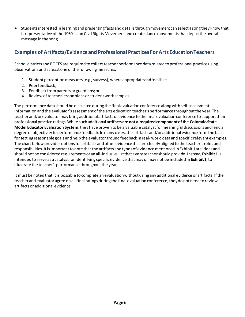• Studentsinterested in learning and presenting facts and detailsthroughmovement can select a song they know that is representative of the 1960's and Civil Rights Movement and create dance movements that depict the overall message in the song.

## **Examples of Artifacts/Evidence and Professional Practices For Arts EducationTeachers**

School districts and BOCES are required to collect teacher performance data related to professional practice using observations and atleastone of the followingmeasures:

- 1. Student perception measures (e.g., surveys), where appropriate and feasible;
- 2. Peerfeedback;
- 3. Feedback fromparents or guardians; or
- 4. Review of teacherlessonplans orstudentwork samples.

The performance data should be discussed during the finalevaluation conference alongwith self-assessment information and the evaluator's assessmentof the arts education teacher's performance throughoutthe year. The teacherand/orevaluatormay bring additionalartifacts orevidence to the final evaluation conference to support their professional practice ratings.While such additional **artifacts are not a required component ofthe ColoradoState Model Educator Evaluation System**, they have proven to be a valuable catalystformeaningful discussions and lend a degree of objectivity to performance feedback. Inmany cases, the artifacts and/or additional evidence formthe basis forsetting reasonable goals and help the evaluatorground feedback in real- world data and specific relevant examples. The chart below provides options for artifacts and other evidence that are closely aligned to the teacher's roles and responsibilities. Itisimportantto note that the artifacts and types of evidence mentioned in Exhibit 1 are ideas and should not be considered requirements oran all-inclusive listthat every teachershould provide. Instead, **Exhibit 1**is intended to serve as a catalystfor identifying specificevidence thatmay ormay not be included in **Exhibit 1**, to illustrate the teacher's performance throughout the year.

It must be noted that it is possible to complete an evaluation without using any additional evidence or artifacts. If the teacherand evaluatoragree on all final ratings during the final evaluation conference, theydo not need to review artifacts or additional evidence.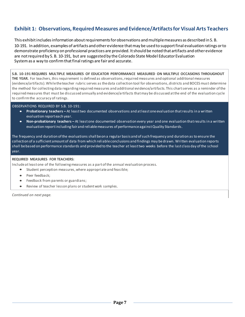## **Exhibit 1: Observations, Required Measures and Evidence/Artifactsfor Visual Arts Teachers**

This exhibit includes information about requirements for observations and multiple measures as described in S. B. 10-191. In addition, examples of artifacts and otherevidence thatmay be used to supportfinal evaluation ratings orto demonstrate proficiency on professional practices are provided. Itshould be noted that artifacts and otherevidence are not required by S. B. 10-191, but are suggested by the Colorado State Model Educator Evaluation System as a way to confirm that final ratings are fair and accurate.

**S.B. 10-191 REQUIRES MULTIPLE MEASURES OF EDUCATOR PERFORMANCE MEASURED ON MULTIPLE OCCASIONS THROUGHOUT**  THE YEAR. For teachers, this requirement is defined as observations, required measures and optional additional measures (evidence/artifacts).Whiletheteacher rubric serves as thedata collection tool for observations, districts and BOCESmust determine the method for collecting data regarding required measures and additional evidence/artifacts. This chartserves as a reminder ofthe requiredmeasures that must be discussed annually and evidence/artifacts thatmay be discussed atthe end of the evaluation cycle to confirmthe accuracy ofratings.

OBSERVATIONS REQUIRED BY S.B. 10-191:

- **Probationary teachers –** At leasttwo documented observations and atleastoneevaluation thatresults in <sup>a</sup> written evaluation report each year.
- **Non-probationary teachers –** At leastone documented observation every year and one evaluation thatresults in a written evaluation reportincluding fairand reliablemeasures of performanceagainstQuality Standards.

The frequency and duration ofthe evaluations shall beon a regular basis and ofsuch frequency and duration as to ensure the collection of a sufficient amountof data from which reliableconclusions and findings may bedrawn. Written evaluation reports shall bebased on performance standards and provided to the teacher at leasttwo weeks before the last class day ofthe school year.

#### **REQUIRED MEASURES FOR TEACHERS:**

Include at least one of the following measures as a part of the annual evaluation process.

- Student perception measures,where appropriateand feasible;
- Peer feedback:
- Feedback from parents or guardians;
- Review of teacher lesson plans or student work samples.

*Continued on next page.*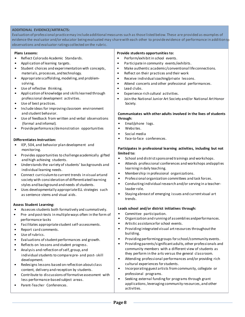#### **ADDITIONAL EVIDENCE/ARTIFACTS:**

Evaluation of professional practicemay includeadditionalmeasures such as thoselisted below. These are provided as examples of evidence the evaluator and/or educator being evaluated may share with each other to provide evidence of performance in addition to observations and evaluator ratings collected on the rubric.

#### **Plans Lessons:**

- Reflect Colorado Academic Standards.
- Application of learning targets.
- Student choices and experimentation with concepts, materials, processes, and technology.
- Appropriate scaffolding, modeling, and problemsolving.
- Use of reflective thinking.
- Application of knowledge and skillslearned through professional development activities.
- Use of best practices.
- Includeideas for improving classroom environment and student behavior.
- Use of feedback from written and verbal observations (formal and informal).
- Provide performance/demonstration opportunities

#### **Differentiates Instruction:**

- IEP, 504, and behavior plan development and monitoring.
- Provides opportunities to challenge academically gifted and high achieving students.
- Understands the variety of students' backgrounds and individual learning needs.
- Connect curriculumto current trends in visual artand society with consideration of differentiated learning styles and background and needs of students.
- Uses developmentally appropriateELL strategies such as sentence stems and visual aids.

#### **Assess Student Learning:**

- Assesses students both formatively and summatively.
- Pre- and post-tests in multiple ways often in the form of performance tasks
- Facilitates appropriate student self-assessments.
- Report card comments.
- Use of rubrics.
- Evaluations of student performances and growth.
- Reflects on lessons and student progress.
- Analysis and reflection ofself, group, and individualstudents to comparepre- and post- skill development.
- Redesigns lessons based on reflection about class content, delivery and reception by students.
- Contribute to discussions of formativeassessment with less performance-based subject areas.
- Parent-Teacher Conferences.

#### **Provide students opportunities to:**

- Perform/exhibitin school events.
- Participate in community events/exhibits.
- Make authentic academic/conventional life connections.
- Reflect on their practices and their work
- Receive individual coaching/private lessons.
- Attend concerts and other professional performances.
- Lead clubs.
- Experience rich cultural activities.
- Join the National Junior Art Society and/or National ArtHonor Society.

#### **Communicates with other adults involved in the lives of students through:**

- Email/phone logs.
- Websites.
- Social media
- Face-to-face conferences.

#### **Participates in professional learning activities, including but not limited to:**

- School and districtsponsored trainings and workshops.
- Attends professional conferences and workshops andapplies learning in daily teaching.
- Membership in professional organizations.
- Professional organization committees and task forces.
- Conducting individualresearch and/orserving in a teacherleader role.
- Staying abreastof emerging issues and current visual art trends.

#### **Leads school and/or district initiatives through:**

- Committee participation.
- Organization and running of assemblies andperformances.
- Artistic assistancefor school events.
- Providing integrated visual artresources throughoutthe building.
- Providing performing groups forschool/community events.
- Providing parents/significant adults, other professionals and community members with a different view of students as they perform in the arts versus the general classroom.
- Attending professional performances and/or providing rich cultural experiences forstudents.
- Incorporating guest artists fromcommunity, collegiate or professional programs.
- Seeking external funding for programs through grant applications, leveraging community resources, and other activities.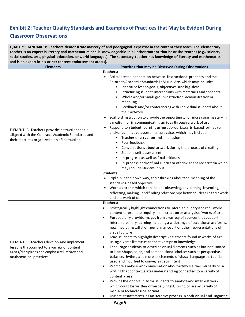## **Exhibit 2: Teacher Quality Standards and Examples of Practices that May be Evident During**

## **Classroom Observations**

| QUALITY STANDARD I: Teachers demonstrate mastery of and pedagogical expertise in the content they teach. The elementary<br>teacher is an expert in literacy and mathematics and is knowledgeable in all other content that he or she teaches (e.g., science,<br>social studies, arts, physical education, or world languages). The secondary teacher has knowledge of literacy and mathematics |                                                                                                                                                                                                                                                                                                                                                                                                                                                                                                                                                                                                                                                                                                                                                                                                                                                                                                                                                                                                                                                                                                                                                                                                                                                                                                                                                    |  |
|------------------------------------------------------------------------------------------------------------------------------------------------------------------------------------------------------------------------------------------------------------------------------------------------------------------------------------------------------------------------------------------------|----------------------------------------------------------------------------------------------------------------------------------------------------------------------------------------------------------------------------------------------------------------------------------------------------------------------------------------------------------------------------------------------------------------------------------------------------------------------------------------------------------------------------------------------------------------------------------------------------------------------------------------------------------------------------------------------------------------------------------------------------------------------------------------------------------------------------------------------------------------------------------------------------------------------------------------------------------------------------------------------------------------------------------------------------------------------------------------------------------------------------------------------------------------------------------------------------------------------------------------------------------------------------------------------------------------------------------------------------|--|
| and is an expert in his or her content endorsement area(s).                                                                                                                                                                                                                                                                                                                                    |                                                                                                                                                                                                                                                                                                                                                                                                                                                                                                                                                                                                                                                                                                                                                                                                                                                                                                                                                                                                                                                                                                                                                                                                                                                                                                                                                    |  |
| <b>Elements</b>                                                                                                                                                                                                                                                                                                                                                                                | Practices that May be Observed During Observations                                                                                                                                                                                                                                                                                                                                                                                                                                                                                                                                                                                                                                                                                                                                                                                                                                                                                                                                                                                                                                                                                                                                                                                                                                                                                                 |  |
| ELEMENT A: Teachers provide instruction that is<br>aligned with the Colorado Academic Standards and<br>their district's organized plan of instruction                                                                                                                                                                                                                                          | <b>Teachers:</b><br>Articulate the connection between instructional practices and the<br>Colorado Academic Standards in Visual Arts which may include:<br>Identified lesson goals, objectives, and bigideas<br>Structuring student interactions with materials and concepts<br>Whole and/or small group instruction, demonstration or<br>modeling<br>• Feedback and/or conferencing with individual students about<br>their artwork<br>Scaffold instruction to provide the opportunity for increasing mastery in<br>a medium or in communicating an idea through a work of art<br>Respond to student learning using appropriate arts-based formative<br>and/or summative assessment practices which may include:<br>Teacher observation and discussion<br>Peer feedback<br>Conversations about artwork during the process of creating<br>Student self-assessment<br>$\bullet$<br>In-progress as well as final critiques<br>In-process and/or final rubrics or otherwise shared criteria which<br>may include student input<br>Students:<br>Explain in their own way, their thinking about the meaning of the<br>$\bullet$<br>standards-based objective<br>Work as artists which can include observing, envisioning, inventing,<br>$\bullet$<br>reflecting, making, and finding relationships between ideas in their work<br>and the work of others |  |
| ELEMENT B: Teachers develop and implement<br>lessons that connect to a variety of content<br>areas/disciplines and emphasize literacy and<br>mathematical practices.                                                                                                                                                                                                                           | Teachers:<br>Strategically highlight connections to interdisciplinary and real-world<br>$\bullet$<br>content to promote inquiry in the creation or analysis of works of art<br>Purposefully provide images from a variety of sources that support<br>$\bullet$<br>interdisciplinary learning including a wide range of traditional art forms,<br>new media, installation, performance art or other representations of<br>visual culture<br>Lead students to highlight descriptive elements found in works of art<br>٠<br>using diverse literacies that activate prior knowledge<br>Encourage students to describe visual elements such as but not limited<br>$\bullet$<br>to line, shape, color, and compositional choices such as perspective,<br>balance, rhythm, and more as elements of visual language that can be<br>used and modified to convey artistic intent<br>Promote analysis and conversation about artwork either verbally or in<br>٠<br>writing that contextualizes understanding connected to a variety of<br>content areas<br>Provide the opportunity for students to analyze and interpret work<br>$\bullet$<br>which could be written or verbal, in text, print, or in any variety of<br>media or technological format.<br>Use artist statements as an iterative process in both visual and linguistic<br>٠                    |  |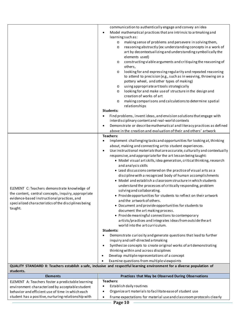| ELEMENT C: Teachers demonstrate knowledge of<br>the content, central concepts, inquiry, appropriate<br>evidence-based instructional practices, and<br>specialized characteristics of the disciplines being | communication to authentically engage and convey an idea<br>Model mathematical practices that are intrinsic to artmaking and<br>$\bullet$<br>learning such as:<br>making sense of problems and persevere in solving them,<br>$\circ$<br>reasoning abstractly (ex: understanding concepts in a work of<br>$\circ$<br>art by decontextualizing and understanding symbolically the<br>elements used)<br>constructing viable arguments and critiquing the reasoning of<br>$\circ$<br>others,<br>looking for and expressing regularity and repeated reasoning<br>$\circ$<br>to attend to precision (e.g., such as in weaving, throwing on a<br>pottery wheel, and other types of making)<br>using appropriate art tools strategically<br>$\circ$<br>looking for and make use of structure in the design and<br>$\circ$<br>creation of works of art<br>making comparisons and calculations to determine spatial<br>$\circ$<br>relationships<br>Students:<br>Find problems, invent ideas, and envision solutions that engage with<br>$\bullet$<br>interdisciplinary content and real-world contexts<br>Demonstrate or describe mathematical and literacy practices as defined<br>$\bullet$<br>above in the creation and evaluation of their and others' artwork<br><b>Teachers:</b><br>Implement challenging tasks and opportunities for looking at, thinking<br>٠<br>about, making and connecting art to student experiences.<br>Use instructional materials that are accurate, culturally and contextually<br>$\bullet$<br>responsive, and appropriate for the art lesson being taught:<br>• Model visual artskills, idea generation, critical thinking, research<br>and analysis skills<br>• Lead discussions centered on the practice of visual arts as a<br>discipline with a recognized body of human accomplishments<br>• Model and establish a classroom structure in which students<br>understand the processes of critically responding, problem<br>solving and collaborating.<br>• Provide opportunities for students to reflect on their artwork<br>and the artwork of others.<br>• Document and provide opportunities for students to |
|------------------------------------------------------------------------------------------------------------------------------------------------------------------------------------------------------------|---------------------------------------------------------------------------------------------------------------------------------------------------------------------------------------------------------------------------------------------------------------------------------------------------------------------------------------------------------------------------------------------------------------------------------------------------------------------------------------------------------------------------------------------------------------------------------------------------------------------------------------------------------------------------------------------------------------------------------------------------------------------------------------------------------------------------------------------------------------------------------------------------------------------------------------------------------------------------------------------------------------------------------------------------------------------------------------------------------------------------------------------------------------------------------------------------------------------------------------------------------------------------------------------------------------------------------------------------------------------------------------------------------------------------------------------------------------------------------------------------------------------------------------------------------------------------------------------------------------------------------------------------------------------------------------------------------------------------------------------------------------------------------------------------------------------------------------------------------------------------------------------------------------------------------------------------------------------------------------------------------------------------------------------------------------------------------------------------------------------------------------------|
| taught.                                                                                                                                                                                                    | document the art making process.<br>• Provide meaningful connections to contemporary<br>artists/practices and integrates ideas from outside the art<br>world into the art curriculum.<br><b>Students:</b><br>Demonstrate curiosity and generate questions that lead to further<br>$\bullet$<br>inquiry and self-directed artmaking<br>Synthesize concepts to create original works of art demonstrating<br>$\bullet$<br>thinking within and across disciplines<br>Develop multiple representations of a concept<br>$\bullet$<br>Examine questions from multiple viewpoints                                                                                                                                                                                                                                                                                                                                                                                                                                                                                                                                                                                                                                                                                                                                                                                                                                                                                                                                                                                                                                                                                                                                                                                                                                                                                                                                                                                                                                                                                                                                                                  |
|                                                                                                                                                                                                            | QUALITY STANDARD II: Teachers establish a safe, inclusive and respectful learning environment for a diverse population of                                                                                                                                                                                                                                                                                                                                                                                                                                                                                                                                                                                                                                                                                                                                                                                                                                                                                                                                                                                                                                                                                                                                                                                                                                                                                                                                                                                                                                                                                                                                                                                                                                                                                                                                                                                                                                                                                                                                                                                                                   |
| students.                                                                                                                                                                                                  |                                                                                                                                                                                                                                                                                                                                                                                                                                                                                                                                                                                                                                                                                                                                                                                                                                                                                                                                                                                                                                                                                                                                                                                                                                                                                                                                                                                                                                                                                                                                                                                                                                                                                                                                                                                                                                                                                                                                                                                                                                                                                                                                             |
| <b>Elements</b>                                                                                                                                                                                            | Practices that May be Observed During Observations                                                                                                                                                                                                                                                                                                                                                                                                                                                                                                                                                                                                                                                                                                                                                                                                                                                                                                                                                                                                                                                                                                                                                                                                                                                                                                                                                                                                                                                                                                                                                                                                                                                                                                                                                                                                                                                                                                                                                                                                                                                                                          |
| ELEMENT A: Teachers foster a predictable learning                                                                                                                                                          | <b>Teachers:</b><br>Establish daily routines<br>$\bullet$                                                                                                                                                                                                                                                                                                                                                                                                                                                                                                                                                                                                                                                                                                                                                                                                                                                                                                                                                                                                                                                                                                                                                                                                                                                                                                                                                                                                                                                                                                                                                                                                                                                                                                                                                                                                                                                                                                                                                                                                                                                                                   |
| environment characterized by acceptable student                                                                                                                                                            | Organize art materials to facilitate ease of student use                                                                                                                                                                                                                                                                                                                                                                                                                                                                                                                                                                                                                                                                                                                                                                                                                                                                                                                                                                                                                                                                                                                                                                                                                                                                                                                                                                                                                                                                                                                                                                                                                                                                                                                                                                                                                                                                                                                                                                                                                                                                                    |
| behavior and efficient use of time in which each<br>student has a positive, nurturing relationship with                                                                                                    | $\bullet$                                                                                                                                                                                                                                                                                                                                                                                                                                                                                                                                                                                                                                                                                                                                                                                                                                                                                                                                                                                                                                                                                                                                                                                                                                                                                                                                                                                                                                                                                                                                                                                                                                                                                                                                                                                                                                                                                                                                                                                                                                                                                                                                   |
|                                                                                                                                                                                                            | Frame expectations for material use and classroom protocols clearly<br>$\bullet$                                                                                                                                                                                                                                                                                                                                                                                                                                                                                                                                                                                                                                                                                                                                                                                                                                                                                                                                                                                                                                                                                                                                                                                                                                                                                                                                                                                                                                                                                                                                                                                                                                                                                                                                                                                                                                                                                                                                                                                                                                                            |

**Page 10**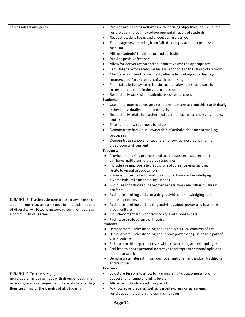| caring adults and peers.                                                                                                                                                                                    | Provide art learning activities with learning objectives individualized<br>$\bullet$<br>for the age and cognitive developmental levels of students<br>Respect student ideas and processes in classroom<br>$\bullet$<br>Encourage new learning from failed attempts at an art process or<br>$\bullet$<br>medium<br>Affirm students' imagination and curiosity<br>$\bullet$<br>Provide positive feedback<br>$\bullet$<br>Allow for conversation and collaborative work as appropriate<br>٠<br>Facilitate care for safety, materials, and tools in the studio classroom<br>$\bullet$<br>Maintain routines that regularly alternate thinking activities (e.g.<br>$\bullet$<br>image/object/artistresearch) with artmaking<br>Facilitate effective systems for students to safely access and care for<br>materials and tools in the studio classroom<br>Respectfully work with students as co-researchers<br>Students:<br>Use classroom routines and structures to make art and think artistically<br>either individually or collaboratively<br>Respectfully relate to teacher and peers as co-researchers, inventors,<br>$\bullet$<br>and artists<br>Enter and show readiness for class<br>Demonstrate individual ownership of artisticideas and artmaking<br>$\bullet$<br>processes |
|-------------------------------------------------------------------------------------------------------------------------------------------------------------------------------------------------------------|----------------------------------------------------------------------------------------------------------------------------------------------------------------------------------------------------------------------------------------------------------------------------------------------------------------------------------------------------------------------------------------------------------------------------------------------------------------------------------------------------------------------------------------------------------------------------------------------------------------------------------------------------------------------------------------------------------------------------------------------------------------------------------------------------------------------------------------------------------------------------------------------------------------------------------------------------------------------------------------------------------------------------------------------------------------------------------------------------------------------------------------------------------------------------------------------------------------------------------------------------------------------------------|
|                                                                                                                                                                                                             | Demonstrate respect for teachers, fellow learners, self, and the<br>classroom environment                                                                                                                                                                                                                                                                                                                                                                                                                                                                                                                                                                                                                                                                                                                                                                                                                                                                                                                                                                                                                                                                                                                                                                                        |
| ELEMENT B: Teachers demonstrate an awareness of,<br>a commitment to, and a respect for multiple aspects<br>of diversity, while working toward common goals as<br>a community of learners.                   | <b>Teachers:</b><br>Provide art making prompts and art discussion questions that<br>$\bullet$<br>can have multiple and diverse responses<br>Include age appropriate discussions of current events as they<br>$\bullet$<br>relate to visual art education<br>Provide contextual information about artwork acknowledging<br>diverse cultural and social influences<br>Avoid lessons that replicate other artists' work and other cultures'<br>artifacts<br>Facilitate thinking and artmaking activities acknowledging socio-<br>cultural contexts<br>• Facilitate thinking and making activities about power and justice in<br>visual culture<br>Include content from contemporary and global artists<br>$\bullet$<br>Facilitate a safe culture of inquiry<br>$\bullet$<br>Students:<br>Demonstrate understanding about socio-cultural contexts of art<br>Demonstrate understanding about how power and justice as a part of<br>visual culture<br>Embrace multiple perspectives while researching and critiquing art<br>Feel free to share personal narratives and express personal opinions<br>٠<br>in their artwork<br>Demonstrate interest in various local, national, and global traditions<br>and cultures                                                                    |
| ELEMENT C: Teachers engage students as<br>individuals, including those with diverse needs and<br>interests, across a range of ability levels by adapting<br>their teaching for the benefit of all students. | <b>Teachers:</b><br>Structure lessons to allow for various artistic outcomes affording<br>$\bullet$<br>success for a range of ability levels<br>Allow for individual and group work<br>$\bullet$<br>Acknowledge visual as well as verbal expression as a means<br>$\bullet$<br>for class participation and communication                                                                                                                                                                                                                                                                                                                                                                                                                                                                                                                                                                                                                                                                                                                                                                                                                                                                                                                                                         |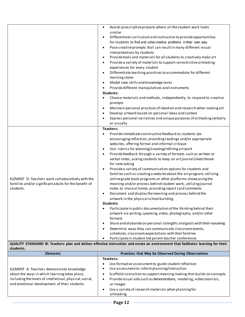|                                                       | Avoids prescriptive projects where all the student work looks<br>$\bullet$<br>similar<br>Differentiate curriculum and instruction to provide opportunities<br>$\bullet$<br>for students to find and solve creative problems in their own way<br>Pose creative prompts that can result in many different visual<br>$\bullet$<br>interpretations by students<br>Provide tools and materials for all students to creatively make art<br>$\bullet$ |
|-------------------------------------------------------|------------------------------------------------------------------------------------------------------------------------------------------------------------------------------------------------------------------------------------------------------------------------------------------------------------------------------------------------------------------------------------------------------------------------------------------------|
|                                                       | Provide a variety of materials to support unrestrictive artmaking<br>$\bullet$<br>experiences for every student<br>Differentiate teaching practices to accommodate for different<br>$\bullet$                                                                                                                                                                                                                                                  |
|                                                       | learning styles<br>Model new skills and knowledge tasks<br>$\bullet$                                                                                                                                                                                                                                                                                                                                                                           |
|                                                       | Provide different manipulatives and instruments<br>$\bullet$                                                                                                                                                                                                                                                                                                                                                                                   |
|                                                       | <b>Students:</b>                                                                                                                                                                                                                                                                                                                                                                                                                               |
|                                                       | Choose materials and methods, independently, to respond to creative<br>prompts                                                                                                                                                                                                                                                                                                                                                                 |
|                                                       | Maintain personal practices of ideation and research when making art<br>$\bullet$                                                                                                                                                                                                                                                                                                                                                              |
|                                                       | Develop artwork based on personal ideas and context<br>$\bullet$                                                                                                                                                                                                                                                                                                                                                                               |
|                                                       | Express personal narratives and unique purposes of artmaking verbally<br>$\bullet$<br>or visually                                                                                                                                                                                                                                                                                                                                              |
|                                                       | Teachers:                                                                                                                                                                                                                                                                                                                                                                                                                                      |
|                                                       | Provide immediate constructive feedback to students (ex:                                                                                                                                                                                                                                                                                                                                                                                       |
|                                                       | encouraging reflection, providing readings and/or appropriate                                                                                                                                                                                                                                                                                                                                                                                  |
|                                                       | websites, offering formal and informal critique                                                                                                                                                                                                                                                                                                                                                                                                |
|                                                       | Use rubrics for planning/creating/refining art work<br>$\bullet$                                                                                                                                                                                                                                                                                                                                                                               |
|                                                       | Provide feedback through a variety of formats such as written or<br>$\bullet$                                                                                                                                                                                                                                                                                                                                                                  |
|                                                       | verbal notes, asking students to keep an artjournal/sketchbook<br>for note-taking                                                                                                                                                                                                                                                                                                                                                              |
|                                                       | Provide a variety of communication options for students and<br>$\bullet$<br>families such as creating a website about the art program, utilizing                                                                                                                                                                                                                                                                                               |
| ELEMENT D: Teachers work collaboratively with the     | online grade book programs or other platforms showcasing the                                                                                                                                                                                                                                                                                                                                                                                   |
| families and/or significant adults for the benefit of | meaning and/or process behind student work, utilizing journal                                                                                                                                                                                                                                                                                                                                                                                  |
| students.                                             | notes to share at home, providing report card comments                                                                                                                                                                                                                                                                                                                                                                                         |
|                                                       | Document and display the meaning and process behind the<br>$\bullet$                                                                                                                                                                                                                                                                                                                                                                           |
|                                                       | artwork in the physical school building.                                                                                                                                                                                                                                                                                                                                                                                                       |
|                                                       | students:                                                                                                                                                                                                                                                                                                                                                                                                                                      |
|                                                       | Participate in public documentation of the thinking behind their<br>$\bullet$                                                                                                                                                                                                                                                                                                                                                                  |
|                                                       | artwork via writing, speaking, video, photography, and/or other                                                                                                                                                                                                                                                                                                                                                                                |
|                                                       | formats<br>Share and elaborate on personal strengths and goals with their reasoning                                                                                                                                                                                                                                                                                                                                                            |
|                                                       | $\bullet$                                                                                                                                                                                                                                                                                                                                                                                                                                      |
|                                                       | Determine ways they can communicate classroom events,<br>$\bullet$<br>schedules, classroom expectations with their families                                                                                                                                                                                                                                                                                                                    |
|                                                       | Participate in student-led parent-teacher conferences<br>$\bullet$                                                                                                                                                                                                                                                                                                                                                                             |
| students.                                             | QUALITY STANDARD III: Teachers plan and deliver effective instruction and create an environment that facilitates learning for their                                                                                                                                                                                                                                                                                                            |
| <b>Elements</b>                                       | Practices that May be Observed During Observations                                                                                                                                                                                                                                                                                                                                                                                             |
|                                                       | <b>Teachers:</b>                                                                                                                                                                                                                                                                                                                                                                                                                               |
|                                                       | Use formative assessment to guide student reflection                                                                                                                                                                                                                                                                                                                                                                                           |
| ELEMENT A: Teachers demonstrate knowledge             | Use assessment to inform planning/instruction                                                                                                                                                                                                                                                                                                                                                                                                  |

| ELEMENT A: Teachers demonstrate knowledge               |           | Use assessment to inform planning/instruction                          |
|---------------------------------------------------------|-----------|------------------------------------------------------------------------|
| about the ways in which learning takes place,           |           | Scaffold instruction to support meaning making that builds on concepts |
| including the levels of intellectual, physical, social, | $\bullet$ | Provide visual aids such as demonstrations, modeling, video tutorials, |
| and emotional development of their students.            |           | or images                                                              |
|                                                         |           | Use a variety of research materials when planning for                  |
|                                                         |           | artmaking                                                              |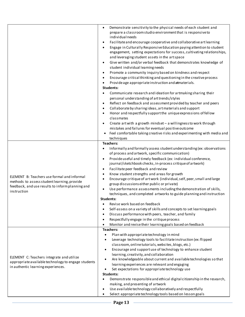|                                                                                                                                                               | Demonstrate sensitivity to the physical needs of each student and<br>$\bullet$<br>prepare a classroom studio environment that is responsive to<br>individual needs<br>Facilitate and encourage cooperative and collaborative art learning<br>$\bullet$<br>Engage in Culturally Responsive Education paying attention to student<br>$\bullet$<br>engagement, setting expectations for success, cultivating relationships,<br>and leveraging student assets in the art space<br>Give written and/or verbal feedback that demonstrates knowledge of<br>$\bullet$<br>student individual learning needs<br>Promote a community inquiry based on kindness and respect<br>$\bullet$<br>Encourage critical thinking and questioning in the creative process<br>$\bullet$<br>Provide age appropriate instruction and atmaterials.<br>$\bullet$<br><b>Students:</b><br>Communicate research and ideation for artmaking sharing their<br>personal understanding of art trends/styles<br>Reflect on feedback and assessment provided by teacher and peers<br>$\bullet$<br>Collaborate by sharing ideas, art materials and support<br>$\bullet$<br>Honor and respectfully support the unique expressions of fellow<br>$\bullet$<br>classmates<br>Create art with a growth mindset - a willingness to work through<br>$\bullet$<br>mistakes and failures for eventual positive outcome<br>Feel comfortable taking creative risks and experimenting with media and |
|---------------------------------------------------------------------------------------------------------------------------------------------------------------|-----------------------------------------------------------------------------------------------------------------------------------------------------------------------------------------------------------------------------------------------------------------------------------------------------------------------------------------------------------------------------------------------------------------------------------------------------------------------------------------------------------------------------------------------------------------------------------------------------------------------------------------------------------------------------------------------------------------------------------------------------------------------------------------------------------------------------------------------------------------------------------------------------------------------------------------------------------------------------------------------------------------------------------------------------------------------------------------------------------------------------------------------------------------------------------------------------------------------------------------------------------------------------------------------------------------------------------------------------------------------------------------------------------------------------------------------------|
| ELEMENT B: Teachers use formal and informal<br>methods to assess student learning, provide<br>feedback, and use results to inform planning and<br>instruction | techniques<br>Teachers:<br>Informally and formally assess student understanding (ex: observations<br>of process and artwork, specific communication)<br>Provide useful and timely feedback (ex: individual conference,<br>$\bullet$<br>journal/sketchbook checks, in-process critique of artwork)<br>Facilitate peer feedback and review<br>$\bullet$<br>Know student strengths and areas for growth<br>$\bullet$<br>Encourage critique of art work (individual, self, peer, small and large<br>$\bullet$<br>group discussions either public or private)<br>Use performance assessments including the demonstration of skills,<br>$\bullet$<br>techniques, and completed artworks to guide planning and instruction<br>Students:<br>Revise work based on feedback<br>Self-assess on a variety of skills and concepts to set learning goals<br>Discuss performance with peers, teacher, and family<br>Respectfully engage in the critique process<br>Monitor and revise their learning goals based on feedback                                                                                                                                                                                                                                                                                                                                                                                                                                       |
| ELEMENT C: Teachers integrate and utilize<br>appropriate available technology to engage students<br>in authentic learning experiences.                        | <b>Teachers:</b><br>Plan with appropriate technology in mind<br>$\bullet$<br>Leverage technology tools to facilitate instruction (ex: flipped<br>classroom, online tutorials, websites, blogs, etc.)<br>Encourage and support use of technology to enhance student<br>learning, creativity, and collaboration<br>Are knowledgeable about current and available technologies so that<br>learning experiences are relevant and engaging<br>Set expectations for appropriate technology use<br><b>Students:</b><br>Demonstrate responsible and ethical digital citizenship in the research,<br>making, and presenting of artwork<br>Use available technology collaboratively and respectfully<br>Select appropriate technology tools based on lesson goals                                                                                                                                                                                                                                                                                                                                                                                                                                                                                                                                                                                                                                                                                             |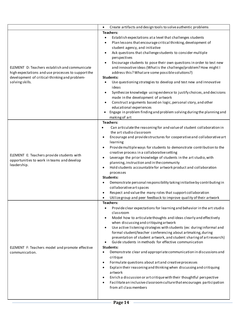|                                                                                                                                                                         | Create artifacts and design tools to solve authentic problems<br>$\bullet$                                                                                                                                                                                                                                                                                                                                                                                                                                                                                                                                                                                                                                                                                                                                                                                                                                                                                                                      |
|-------------------------------------------------------------------------------------------------------------------------------------------------------------------------|-------------------------------------------------------------------------------------------------------------------------------------------------------------------------------------------------------------------------------------------------------------------------------------------------------------------------------------------------------------------------------------------------------------------------------------------------------------------------------------------------------------------------------------------------------------------------------------------------------------------------------------------------------------------------------------------------------------------------------------------------------------------------------------------------------------------------------------------------------------------------------------------------------------------------------------------------------------------------------------------------|
|                                                                                                                                                                         | <b>Teachers:</b>                                                                                                                                                                                                                                                                                                                                                                                                                                                                                                                                                                                                                                                                                                                                                                                                                                                                                                                                                                                |
| ELEMENT D: Teachers establish and communicate<br>high expectations and use processes to support the<br>development of critical-thinking and problem-<br>solving skills. | Establish expectations at a level that challenges students<br>$\bullet$<br>Plan lessons that encourage critical thinking, development of<br>student agency, and initiative<br>Ask questions that challenge students to consider multiple<br>$\bullet$<br>perspectives<br>Encourage students to pose their own questions in order to test new<br>and innovative ideas (What is the challenge/problem? How might I<br>address this? What are some possible solutions?)<br>Students:<br>Use questioning strategies to develop and test new and innovative<br>ideas<br>Synthesize knowledge using evidence to justify choices, and decisions<br>made in the development of artwork<br>Construct arguments based on logic, personal story, and other<br>educational experiences<br>Engage in problem finding and problem solving during the planning and<br>making of art                                                                                                                            |
| ELEMENT E: Teachers provide students with<br>opportunities to work in teams and develop<br>leadership.                                                                  | <b>Teachers:</b><br>Can articulate the reasoning for and value of student collaboration in<br>$\bullet$<br>the art studio classroom<br>Encourage and provide structures for cooperative and collaborative art<br>$\bullet$<br>learning<br>Provide multiple ways for students to demonstrate contribution to the<br>$\bullet$<br>creative process in a collaborative setting<br>Leverage the prior knowledge of students in the art studio, with<br>$\bullet$<br>planning, instruction and in the community<br>Hold students accountable for artwork product and collaboration<br>$\bullet$<br>processes<br>Students:<br>Demonstrate personal responsibility taking initiative by contributing in<br>٠<br>collaborative art spaces<br>Respect and value the many roles that support collaboration<br>$\bullet$<br>Utilize group and peer feedback to improve quality of their artwork<br>$\bullet$                                                                                               |
| ELEMENT F: Teachers model and promote effective<br>communication.                                                                                                       | <b>Teachers:</b><br>Provide clear expectations for learning and behavior in the art studio<br>$\bullet$<br>classroom<br>Model how to articulate thoughts and ideas clearly and effectively<br>when discussing and critiquing artwork<br>Use active listening strategies with students (ex: during informal and<br>formal student/teacher conferencing about artmaking, during<br>presentation of student artwork, and student sharing of art research)<br>Guide students in methods for effective communication<br>Students:<br>Demonstrate clear and appropriate communication in discussions and<br>٠<br>critique<br>Formulate questions about art and creative processes<br>$\bullet$<br>Explain their reasoning and thinking when discussing and critiquing<br>$\bullet$<br>artwork<br>Enrich a discussion or art critique with their thoughtful perspective<br>$\bullet$<br>Facilitate an inclusive classroom culture that encourages participation<br>$\bullet$<br>from all class members |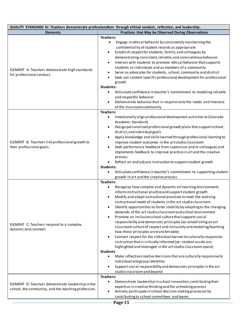| QUALITY STANDARD IV: Teachers demonstrate professionalism through ethical conduct, reflection, and leadership. |                                                                                                                                                                                                                                                                                                                                                                                                                                                                                                                                                                                                                                                                                                                                                                                                                                                                                                                                                                                                                                                                                                                                            |
|----------------------------------------------------------------------------------------------------------------|--------------------------------------------------------------------------------------------------------------------------------------------------------------------------------------------------------------------------------------------------------------------------------------------------------------------------------------------------------------------------------------------------------------------------------------------------------------------------------------------------------------------------------------------------------------------------------------------------------------------------------------------------------------------------------------------------------------------------------------------------------------------------------------------------------------------------------------------------------------------------------------------------------------------------------------------------------------------------------------------------------------------------------------------------------------------------------------------------------------------------------------------|
| <b>Elements</b>                                                                                                | Practices that May be Observed During Observations                                                                                                                                                                                                                                                                                                                                                                                                                                                                                                                                                                                                                                                                                                                                                                                                                                                                                                                                                                                                                                                                                         |
| ELEMENT A: Teachers demonstrate high standards<br>for professional conduct.                                    | Teachers:<br>Engage in ethical behavior by consistently maintaining the<br>$\bullet$<br>confidentiality of student records as appropriate<br>Establish respect for students, family, and colleagues by<br>$\bullet$<br>demonstrating consistent, reliable, and conscientious behavior<br>Interact with students to promote ethical behavior that supports<br>students as individuals and as members of a community<br>Serve as advocates for students, school, community and district<br>٠<br>Seek out content specific professional development for professional<br>growth<br><b>Students:</b><br>Articulate confidence in teacher's commitment to modeling reliable<br>$\bullet$<br>and respectful behavior<br>Demonstrate behavior that is responsive to the needs and interests<br>of the classroom community                                                                                                                                                                                                                                                                                                                          |
| ELEMENT B: Teachers link professional growth to<br>their professional goals.                                   | Teachers:<br>Intentionally align professional development activities to Colorado<br>$\bullet$<br>Academic Standards<br>Design personalized professional growth plans that support school,<br>$\bullet$<br>district, and individual goals<br>Apply knowledge and skills learned through professional learning to<br>improve student outcomes in the art studio classroom<br>Seek performance feedback from supervisor and or colleagues and<br>implements feedback to improve practice in art and the creative<br>process<br>Reflect on and adjusts instruction to support student growth<br>Students:<br>Articulate confidence in teacher's commitment to supporting student<br>$\bullet$<br>growth in art and the creative process                                                                                                                                                                                                                                                                                                                                                                                                        |
| ELEMENT C: Teachers respond to a complex,<br>dynamic environment.                                              | <b>Teachers:</b><br>Recognize how complex and dynamic artlearning environments<br>inform instructional practice and support student growth<br>Modify and adaptinstructional practices to meet the evolving<br>instructional needs of students in the art studio classroom<br>Identify opportunities to foster stability by adapting to the changing<br>demands of the art studio classroom and school environment<br>Promote an inclusive school culture that supports social<br>responsibility and democratic principles (ex: establishing an art<br>classroom culture of respect and inclusivity and modeling/teaching<br>how these principles are transferrable)<br>Connect respect for the individual learner to culturally responsive<br>$\bullet$<br>instruction that is critically informed (ex: student assets are<br>highlighted and leveraged in the art studio classroom space)<br><b>Students</b><br>Make reflective creative decisions that are culturally responsive to<br>$\bullet$<br>individual and group identities<br>Support social responsibility and democratic principles in the art<br>studio classroom and beyond |
| ELEMENT D: Teachers demonstrate leadership in the<br>school, the community, and the teaching profession.       | Teachers:<br>Demonstrate leadership in school innovation, contributing their<br>$\bullet$<br>expertise in creative thinking and the artmaking process<br>Actively participate in school decision-making processes by<br>contributing to school committees and teams.<br>Page 15                                                                                                                                                                                                                                                                                                                                                                                                                                                                                                                                                                                                                                                                                                                                                                                                                                                            |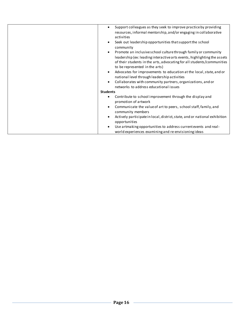| Support colleagues as they seek to improve practice by providing<br>resources, informal mentorship, and/or engaging in collaborative<br>activities                                   |
|--------------------------------------------------------------------------------------------------------------------------------------------------------------------------------------|
| Seek out leadership opportunities that support the school<br>community                                                                                                               |
| Promote an inclusive school culture through family or community                                                                                                                      |
| leadership (ex: leading interactive arts events, highlighting the assets<br>of their students in the arts, advocating for all students/communities<br>to be represented in the arts) |
| Advocates for improvements to education at the local, state, and or                                                                                                                  |
| national level through leadership activities                                                                                                                                         |
| Collaborates with community partners, organizations, and or                                                                                                                          |
| networks to address educational issues                                                                                                                                               |
| <b>Students</b>                                                                                                                                                                      |
| Contribute to school improvement through the display and<br>promotion of artwork                                                                                                     |
| Communicate the value of art to peers, school staff, family, and<br>community members                                                                                                |
| Actively participate in local, district, state, and or national exhibition<br>opportunities                                                                                          |
| Use artmaking opportunities to address current events and real-                                                                                                                      |
|                                                                                                                                                                                      |
| world experiences examining and re-envisioning ideas                                                                                                                                 |